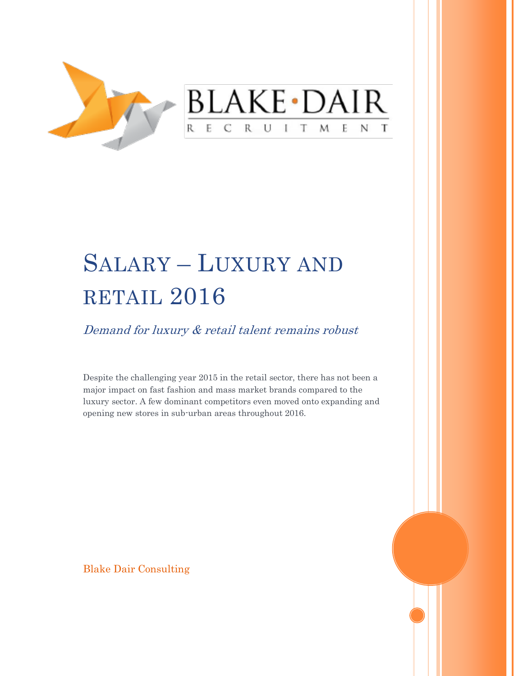

## SALARY – LUXURY AND RETAIL 2016

Demand for luxury & retail talent remains robust

Despite the challenging year 2015 in the retail sector, there has not been a major impact on fast fashion and mass market brands compared to the luxury sector. A few dominant competitors even moved onto expanding and opening new stores in sub-urban areas throughout 2016.

Blake Dair Consulting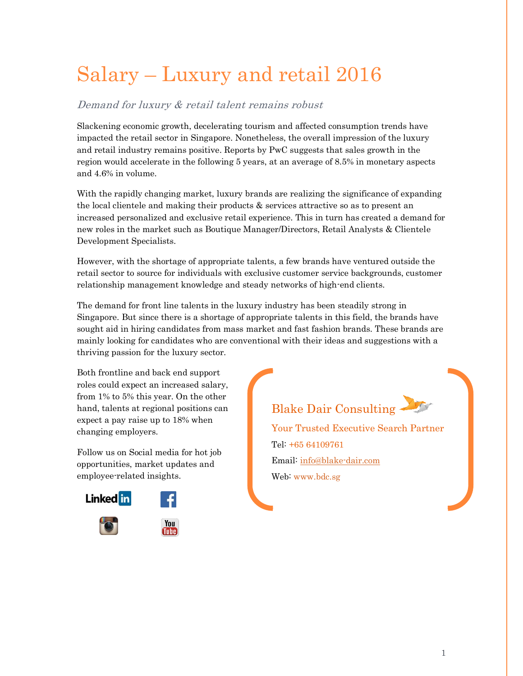## Salary – Luxury and retail 2016

## Demand for luxury & retail talent remains robust

Slackening economic growth, decelerating tourism and affected consumption trends have impacted the retail sector in Singapore. Nonetheless, the overall impression of the luxury and retail industry remains positive. Reports by PwC suggests that sales growth in the region would accelerate in the following 5 years, at an average of 8.5% in monetary aspects and 4.6% in volume.

With the rapidly changing market, luxury brands are realizing the significance of expanding the local clientele and making their products & services attractive so as to present an increased personalized and exclusive retail experience. This in turn has created a demand for new roles in the market such as Boutique Manager/Directors, Retail Analysts & Clientele Development Specialists.

However, with the shortage of appropriate talents, a few brands have ventured outside the retail sector to source for individuals with exclusive customer service backgrounds, customer relationship management knowledge and steady networks of high-end clients.

The demand for front line talents in the luxury industry has been steadily strong in Singapore. But since there is a shortage of appropriate talents in this field, the brands have sought aid in hiring candidates from mass market and fast fashion brands. These brands are mainly looking for candidates who are conventional with their ideas and suggestions with a thriving passion for the luxury sector.

Both frontline and back end support roles could expect an increased salary, from 1% to 5% this year. On the other hand, talents at regional positions can expect a pay raise up to 18% when changing employers.

Follow us on Social media for hot job opportunities, market updates and employee-related insights.





Web[: www.bdc.sg](www.bdc.sg)